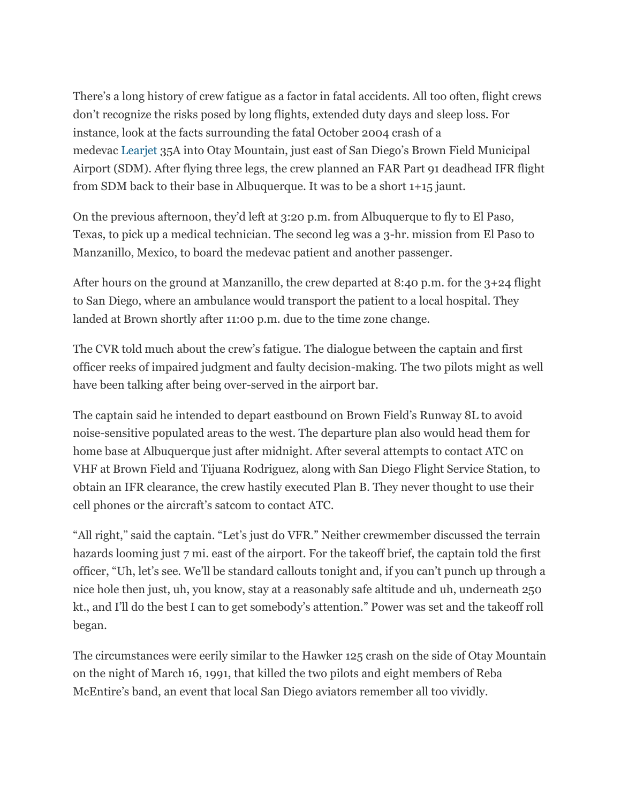There's a long history of crew fatigue as a factor in fatal accidents. All too often, flight crews don't recognize the risks posed by long flights, extended duty days and sleep loss. For instance, look at the facts surrounding the fatal October 2004 crash of a medevac [Learjet](http://awin.aviationweek.com/OrganizationProfiles.aspx?orgId=24343) 35A into Otay Mountain, just east of San Diego's Brown Field Municipal Airport (SDM). After flying three legs, the crew planned an FAR Part 91 deadhead IFR flight from SDM back to their base in Albuquerque. It was to be a short 1+15 jaunt.

On the previous afternoon, they'd left at 3:20 p.m. from Albuquerque to fly to El Paso, Texas, to pick up a medical technician. The second leg was a 3-hr. mission from El Paso to Manzanillo, Mexico, to board the medevac patient and another passenger.

After hours on the ground at Manzanillo, the crew departed at 8:40 p.m. for the 3+24 flight to San Diego, where an ambulance would transport the patient to a local hospital. They landed at Brown shortly after 11:00 p.m. due to the time zone change.

The CVR told much about the crew's fatigue. The dialogue between the captain and first officer reeks of impaired judgment and faulty decision-making. The two pilots might as well have been talking after being over-served in the airport bar.

The captain said he intended to depart eastbound on Brown Field's Runway 8L to avoid noise-sensitive populated areas to the west. The departure plan also would head them for home base at Albuquerque just after midnight. After several attempts to contact ATC on VHF at Brown Field and Tijuana Rodriguez, along with San Diego Flight Service Station, to obtain an IFR clearance, the crew hastily executed Plan B. They never thought to use their cell phones or the aircraft's satcom to contact ATC.

"All right," said the captain. "Let's just do VFR." Neither crewmember discussed the terrain hazards looming just 7 mi. east of the airport. For the takeoff brief, the captain told the first officer, "Uh, let's see. We'll be standard callouts tonight and, if you can't punch up through a nice hole then just, uh, you know, stay at a reasonably safe altitude and uh, underneath 250 kt., and I'll do the best I can to get somebody's attention." Power was set and the takeoff roll began.

The circumstances were eerily similar to the Hawker 125 crash on the side of Otay Mountain on the night of March 16, 1991, that killed the two pilots and eight members of Reba McEntire's band, an event that local San Diego aviators remember all too vividly.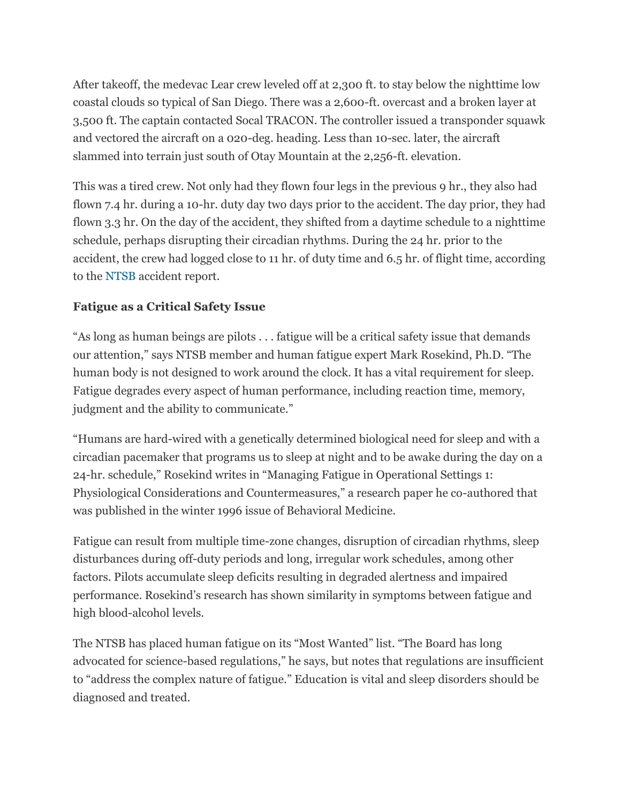After takeoff, the medevac Lear crew leveled off at 2,300 ft. to stay below the nighttime low coastal clouds so typical of San Diego. There was a 2,600-ft. overcast and a broken layer at 3,500 ft. The captain contacted Socal TRACON. The controller issued a transponder squawk and vectored the aircraft on a 020-deg. heading. Less than 10-sec. later, the aircraft slammed into terrain just south of Otay Mountain at the 2,256-ft. elevation.

This was a tired crew. Not only had they flown four legs in the previous 9 hr., they also had flown 7.4 hr. during a 10-hr. duty day two days prior to the accident. The day prior, they had flown 3.3 hr. On the day of the accident, they shifted from a daytime schedule to a nighttime schedule, perhaps disrupting their circadian rhythms. During the 24 hr. prior to the accident, the crew had logged close to 11 hr. of duty time and 6.5 hr. of flight time, according to the [NTSB](http://awin.aviationweek.com/OrganizationProfiles.aspx?orgId=26686) accident report.

## **Fatigue as a Critical Safety Issue**

"As long as human beings are pilots . . . fatigue will be a critical safety issue that demands our attention," says NTSB member and human fatigue expert Mark Rosekind, Ph.D. "The human body is not designed to work around the clock. It has a vital requirement for sleep. Fatigue degrades every aspect of human performance, including reaction time, memory, judgment and the ability to communicate."

"Humans are hard-wired with a genetically determined biological need for sleep and with a circadian pacemaker that programs us to sleep at night and to be awake during the day on a 24-hr. schedule," Rosekind writes in "Managing Fatigue in Operational Settings 1: Physiological Considerations and Countermeasures," a research paper he co-authored that was published in the winter 1996 issue of Behavioral Medicine.

Fatigue can result from multiple time-zone changes, disruption of circadian rhythms, sleep disturbances during off-duty periods and long, irregular work schedules, among other factors. Pilots accumulate sleep deficits resulting in degraded alertness and impaired performance. Rosekind's research has shown similarity in symptoms between fatigue and high blood-alcohol levels.

The NTSB has placed human fatigue on its "Most Wanted" list. "The Board has long advocated for science-based regulations," he says, but notes that regulations are insufficient to "address the complex nature of fatigue." Education is vital and sleep disorders should be diagnosed and treated.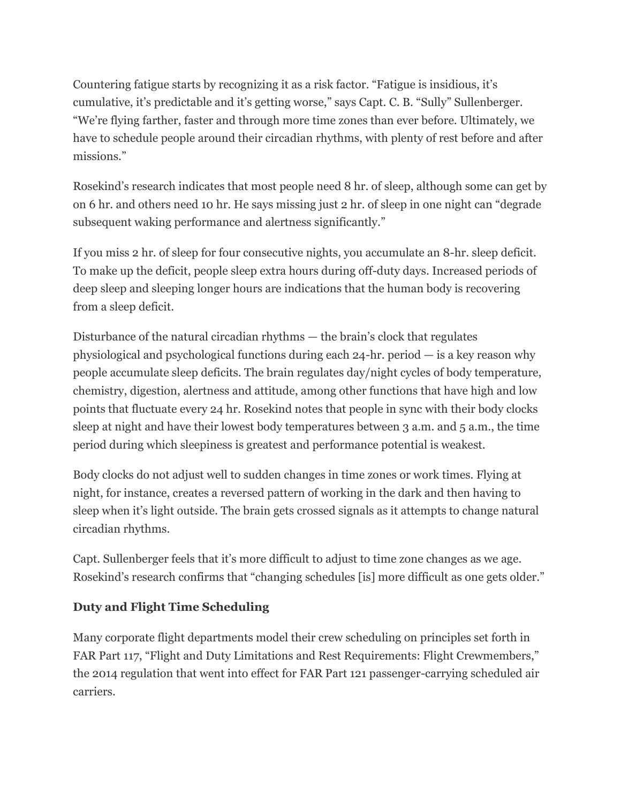Countering fatigue starts by recognizing it as a risk factor. "Fatigue is insidious, it's cumulative, it's predictable and it's getting worse," says Capt. C. B. "Sully" Sullenberger. "We're flying farther, faster and through more time zones than ever before. Ultimately, we have to schedule people around their circadian rhythms, with plenty of rest before and after missions."

Rosekind's research indicates that most people need 8 hr. of sleep, although some can get by on 6 hr. and others need 10 hr. He says missing just 2 hr. of sleep in one night can "degrade subsequent waking performance and alertness significantly."

If you miss 2 hr. of sleep for four consecutive nights, you accumulate an 8-hr. sleep deficit. To make up the deficit, people sleep extra hours during off-duty days. Increased periods of deep sleep and sleeping longer hours are indications that the human body is recovering from a sleep deficit.

Disturbance of the natural circadian rhythms — the brain's clock that regulates physiological and psychological functions during each 24-hr. period — is a key reason why people accumulate sleep deficits. The brain regulates day/night cycles of body temperature, chemistry, digestion, alertness and attitude, among other functions that have high and low points that fluctuate every 24 hr. Rosekind notes that people in sync with their body clocks sleep at night and have their lowest body temperatures between 3 a.m. and 5 a.m., the time period during which sleepiness is greatest and performance potential is weakest.

Body clocks do not adjust well to sudden changes in time zones or work times. Flying at night, for instance, creates a reversed pattern of working in the dark and then having to sleep when it's light outside. The brain gets crossed signals as it attempts to change natural circadian rhythms.

Capt. Sullenberger feels that it's more difficult to adjust to time zone changes as we age. Rosekind's research confirms that "changing schedules [is] more difficult as one gets older."

## **Duty and Flight Time Scheduling**

Many corporate flight departments model their crew scheduling on principles set forth in FAR Part 117, "Flight and Duty Limitations and Rest Requirements: Flight Crewmembers," the 2014 regulation that went into effect for FAR Part 121 passenger-carrying scheduled air carriers.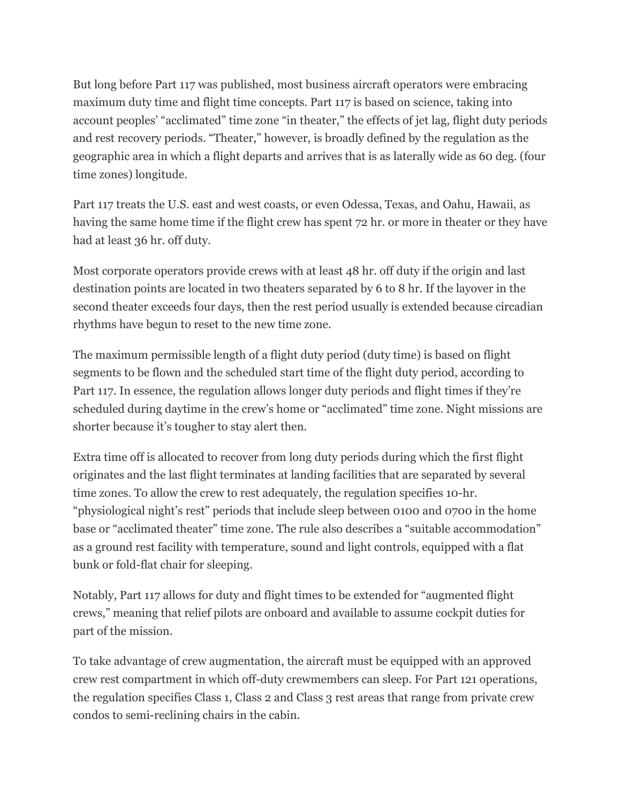But long before Part 117 was published, most business aircraft operators were embracing maximum duty time and flight time concepts. Part 117 is based on science, taking into account peoples' "acclimated" time zone "in theater," the effects of jet lag, flight duty periods and rest recovery periods. "Theater," however, is broadly defined by the regulation as the geographic area in which a flight departs and arrives that is as laterally wide as 60 deg. (four time zones) longitude.

Part 117 treats the U.S. east and west coasts, or even Odessa, Texas, and Oahu, Hawaii, as having the same home time if the flight crew has spent 72 hr. or more in theater or they have had at least 36 hr. off duty.

Most corporate operators provide crews with at least 48 hr. off duty if the origin and last destination points are located in two theaters separated by 6 to 8 hr. If the layover in the second theater exceeds four days, then the rest period usually is extended because circadian rhythms have begun to reset to the new time zone.

The maximum permissible length of a flight duty period (duty time) is based on flight segments to be flown and the scheduled start time of the flight duty period, according to Part 117. In essence, the regulation allows longer duty periods and flight times if they're scheduled during daytime in the crew's home or "acclimated" time zone. Night missions are shorter because it's tougher to stay alert then.

Extra time off is allocated to recover from long duty periods during which the first flight originates and the last flight terminates at landing facilities that are separated by several time zones. To allow the crew to rest adequately, the regulation specifies 10-hr. "physiological night's rest" periods that include sleep between 0100 and 0700 in the home base or "acclimated theater" time zone. The rule also describes a "suitable accommodation" as a ground rest facility with temperature, sound and light controls, equipped with a flat bunk or fold-flat chair for sleeping.

Notably, Part 117 allows for duty and flight times to be extended for "augmented flight crews," meaning that relief pilots are onboard and available to assume cockpit duties for part of the mission.

To take advantage of crew augmentation, the aircraft must be equipped with an approved crew rest compartment in which off-duty crewmembers can sleep. For Part 121 operations, the regulation specifies Class 1, Class 2 and Class 3 rest areas that range from private crew condos to semi-reclining chairs in the cabin.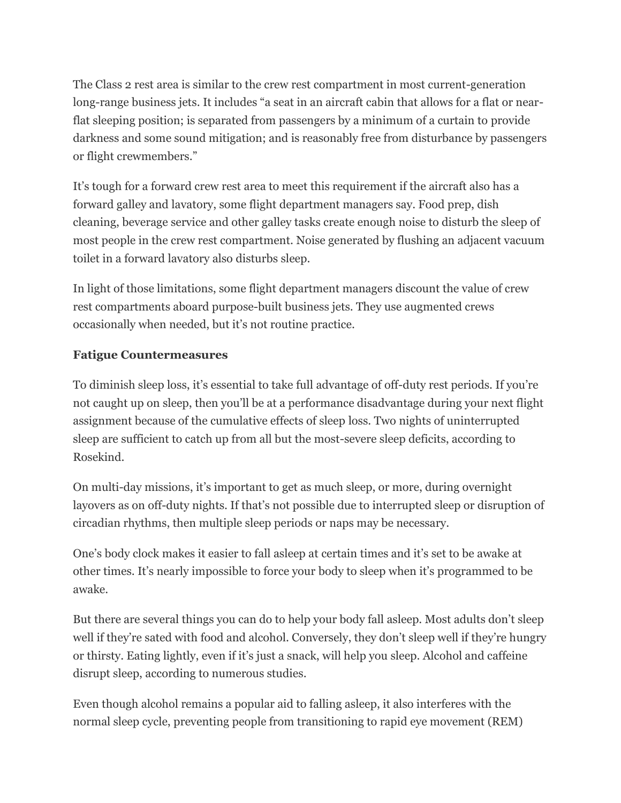The Class 2 rest area is similar to the crew rest compartment in most current-generation long-range business jets. It includes "a seat in an aircraft cabin that allows for a flat or nearflat sleeping position; is separated from passengers by a minimum of a curtain to provide darkness and some sound mitigation; and is reasonably free from disturbance by passengers or flight crewmembers."

It's tough for a forward crew rest area to meet this requirement if the aircraft also has a forward galley and lavatory, some flight department managers say. Food prep, dish cleaning, beverage service and other galley tasks create enough noise to disturb the sleep of most people in the crew rest compartment. Noise generated by flushing an adjacent vacuum toilet in a forward lavatory also disturbs sleep.

In light of those limitations, some flight department managers discount the value of crew rest compartments aboard purpose-built business jets. They use augmented crews occasionally when needed, but it's not routine practice.

## **Fatigue Countermeasures**

To diminish sleep loss, it's essential to take full advantage of off-duty rest periods. If you're not caught up on sleep, then you'll be at a performance disadvantage during your next flight assignment because of the cumulative effects of sleep loss. Two nights of uninterrupted sleep are sufficient to catch up from all but the most-severe sleep deficits, according to Rosekind.

On multi-day missions, it's important to get as much sleep, or more, during overnight layovers as on off-duty nights. If that's not possible due to interrupted sleep or disruption of circadian rhythms, then multiple sleep periods or naps may be necessary.

One's body clock makes it easier to fall asleep at certain times and it's set to be awake at other times. It's nearly impossible to force your body to sleep when it's programmed to be awake.

But there are several things you can do to help your body fall asleep. Most adults don't sleep well if they're sated with food and alcohol. Conversely, they don't sleep well if they're hungry or thirsty. Eating lightly, even if it's just a snack, will help you sleep. Alcohol and caffeine disrupt sleep, according to numerous studies.

Even though alcohol remains a popular aid to falling asleep, it also interferes with the normal sleep cycle, preventing people from transitioning to rapid eye movement (REM)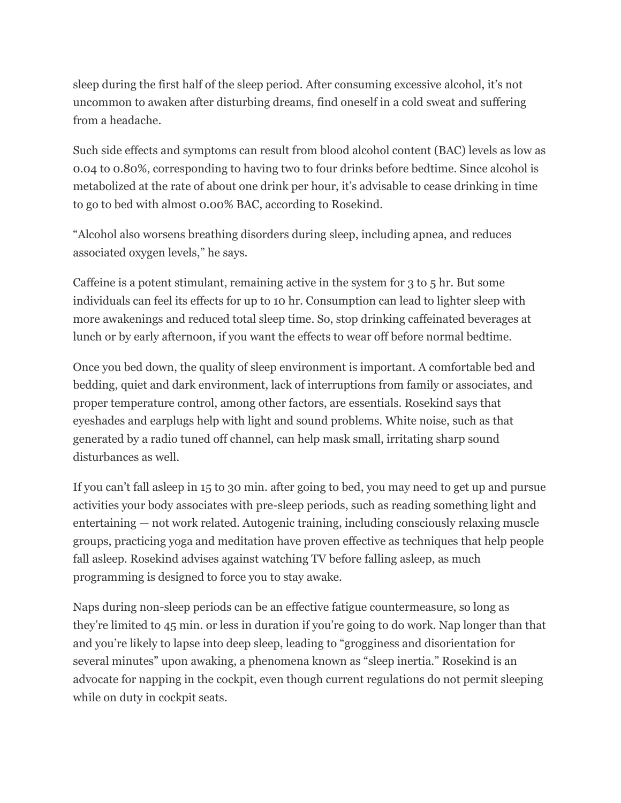sleep during the first half of the sleep period. After consuming excessive alcohol, it's not uncommon to awaken after disturbing dreams, find oneself in a cold sweat and suffering from a headache.

Such side effects and symptoms can result from blood alcohol content (BAC) levels as low as 0.04 to 0.80%, corresponding to having two to four drinks before bedtime. Since alcohol is metabolized at the rate of about one drink per hour, it's advisable to cease drinking in time to go to bed with almost 0.00% BAC, according to Rosekind.

"Alcohol also worsens breathing disorders during sleep, including apnea, and reduces associated oxygen levels," he says.

Caffeine is a potent stimulant, remaining active in the system for 3 to 5 hr. But some individuals can feel its effects for up to 10 hr. Consumption can lead to lighter sleep with more awakenings and reduced total sleep time. So, stop drinking caffeinated beverages at lunch or by early afternoon, if you want the effects to wear off before normal bedtime.

Once you bed down, the quality of sleep environment is important. A comfortable bed and bedding, quiet and dark environment, lack of interruptions from family or associates, and proper temperature control, among other factors, are essentials. Rosekind says that eyeshades and earplugs help with light and sound problems. White noise, such as that generated by a radio tuned off channel, can help mask small, irritating sharp sound disturbances as well.

If you can't fall asleep in 15 to 30 min. after going to bed, you may need to get up and pursue activities your body associates with pre-sleep periods, such as reading something light and entertaining — not work related. Autogenic training, including consciously relaxing muscle groups, practicing yoga and meditation have proven effective as techniques that help people fall asleep. Rosekind advises against watching TV before falling asleep, as much programming is designed to force you to stay awake.

Naps during non-sleep periods can be an effective fatigue countermeasure, so long as they're limited to 45 min. or less in duration if you're going to do work. Nap longer than that and you're likely to lapse into deep sleep, leading to "grogginess and disorientation for several minutes" upon awaking, a phenomena known as "sleep inertia." Rosekind is an advocate for napping in the cockpit, even though current regulations do not permit sleeping while on duty in cockpit seats.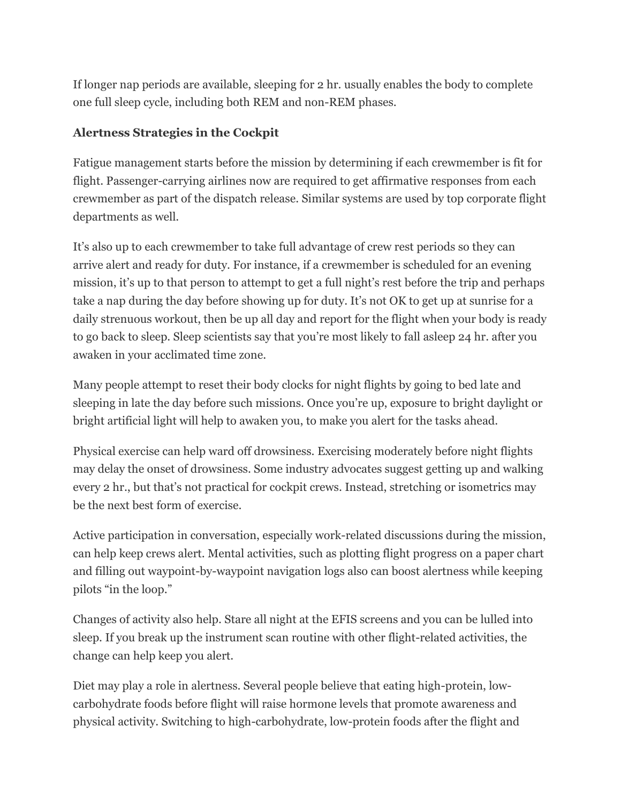If longer nap periods are available, sleeping for 2 hr. usually enables the body to complete one full sleep cycle, including both REM and non-REM phases.

## **Alertness Strategies in the Cockpit**

Fatigue management starts before the mission by determining if each crewmember is fit for flight. Passenger-carrying airlines now are required to get affirmative responses from each crewmember as part of the dispatch release. Similar systems are used by top corporate flight departments as well.

It's also up to each crewmember to take full advantage of crew rest periods so they can arrive alert and ready for duty. For instance, if a crewmember is scheduled for an evening mission, it's up to that person to attempt to get a full night's rest before the trip and perhaps take a nap during the day before showing up for duty. It's not OK to get up at sunrise for a daily strenuous workout, then be up all day and report for the flight when your body is ready to go back to sleep. Sleep scientists say that you're most likely to fall asleep 24 hr. after you awaken in your acclimated time zone.

Many people attempt to reset their body clocks for night flights by going to bed late and sleeping in late the day before such missions. Once you're up, exposure to bright daylight or bright artificial light will help to awaken you, to make you alert for the tasks ahead.

Physical exercise can help ward off drowsiness. Exercising moderately before night flights may delay the onset of drowsiness. Some industry advocates suggest getting up and walking every 2 hr., but that's not practical for cockpit crews. Instead, stretching or isometrics may be the next best form of exercise.

Active participation in conversation, especially work-related discussions during the mission, can help keep crews alert. Mental activities, such as plotting flight progress on a paper chart and filling out waypoint-by-waypoint navigation logs also can boost alertness while keeping pilots "in the loop."

Changes of activity also help. Stare all night at the EFIS screens and you can be lulled into sleep. If you break up the instrument scan routine with other flight-related activities, the change can help keep you alert.

Diet may play a role in alertness. Several people believe that eating high-protein, lowcarbohydrate foods before flight will raise hormone levels that promote awareness and physical activity. Switching to high-carbohydrate, low-protein foods after the flight and